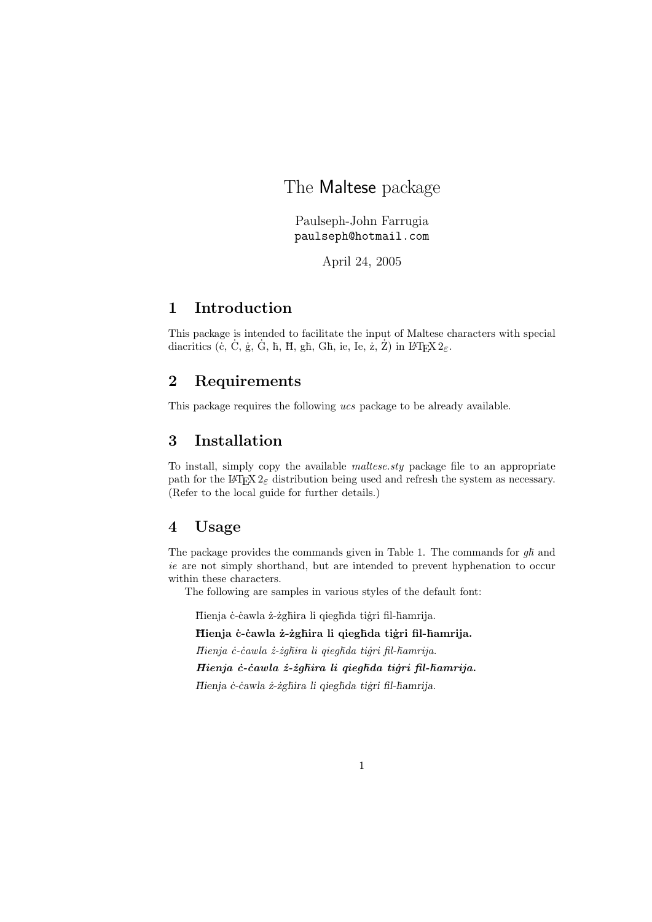# The Maltese package

Paulseph-John Farrugia paulseph@hotmail.com

April 24, 2005

## 1 Introduction

This package is intended to facilitate the input of Maltese characters with special diacritics (c, C, g, G, h, H, gh, Gh, ie, Ie,  $\dot{z}$ ,  $\dot{Z}$ ) in  $EFEX 2_{\varepsilon}$ .

## 2 Requirements

This package requires the following ucs package to be already available.

## 3 Installation

To install, simply copy the available maltese.sty package file to an appropriate path for the LATEX  $2\varepsilon$  distribution being used and refresh the system as necessary. (Refer to the local guide for further details.)

#### 4 Usage

The package provides the commands given in Table 1. The commands for  $q\hbar$  and ie are not simply shorthand, but are intended to prevent hyphenation to occur within these characters.

The following are samples in various styles of the default font:

Hienja ċ-ċawla ż-żgħira li qiegħda tiġri fil-ħamrija.

Hienja ċ- ċawla ż- żghira li qieghda tiġri fil-hamrija.

Hienja c-cawla z-zghira li qieghda tigri fil-hamrija.

Hienja ċ- ċawla ż-żghira li qieghda tiģri fil-hamrija.

Hienja ċ-ċawla ż-żgħira li qiegħda tiġri fil-ħamrija.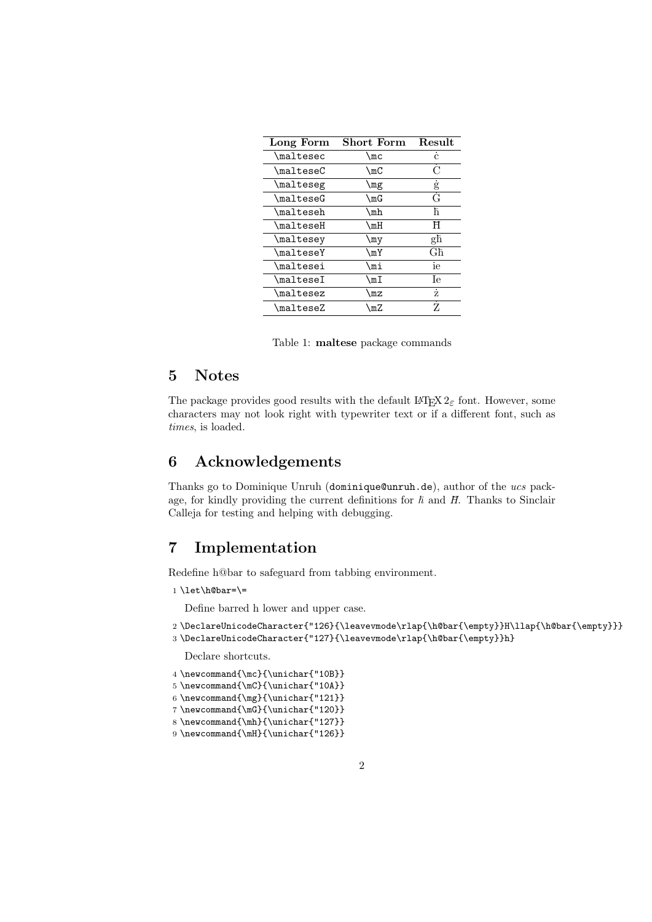| Long Form                                  | Short Form                  | <b>Result</b> |
|--------------------------------------------|-----------------------------|---------------|
| \maltesec                                  | \mc                         | $\mathbf{C}$  |
| $\texttt{\textbackslash}\texttt{malteseC}$ | $\mathcal{L}_{\mathrm{mC}}$ | ( )           |
| \malteseg                                  | \mg                         | g             |
| $\texttt{MaldeseG}$                        | \mG                         | Ġ             |
| $\mathcal{L}$                              | \mh                         | ħ             |
| $\verb \mailteseH $                        | $\mathcal{L}_{m}$           | Ħ             |
| \maltesey                                  | \my                         | għ            |
| \malteseY                                  | $\mathcal{M}$               | Għ            |
| \maltesei                                  | \mi                         | ie            |
| $\verb \mailtese $                         | ∖mI                         | Īе            |
| \maltesez                                  | \MZ                         | ż             |
| $\verb \malteseZ $                         | ∖mZ                         | Z             |

Table 1: maltese package commands

## 5 Notes

The package provides good results with the default  $\mathbb{F} \mathbb{F} \times \mathbb{Z}$  font. However, some characters may not look right with typewriter text or if a different font, such as times, is loaded.

## 6 Acknowledgements

Thanks go to Dominique Unruh (dominique@unruh.de), author of the ucs package, for kindly providing the current definitions for  $\hbar$  and  $H$ . Thanks to Sinclair Calleja for testing and helping with debugging.

## 7 Implementation

Redefine h@bar to safeguard from tabbing environment.

 $1 \le t\hbox{barr}$  =

Define barred h lower and upper case.

```
2 \DeclareUnicodeCharacter{"126}{\leavevmode\rlap{\h@bar{\empty}}H\llap{\h@bar{\empty}}}
3 \DeclareUnicodeCharacter{"127}{\leavevmode\rlap{\h@bar{\empty}}h}
```
Declare shortcuts.

```
4 \newcommand{\mc}{\unichar{"10B}}
```

```
5 \newcommand{\mC}{\unichar{"10A}}
```

```
6 \newcommand{\mg}{\unichar{"121}}
```

```
7 \newcommand{\mG}{\unichar{"120}}
```

```
8 \newcommand{\mh}{\unichar{"127}}
```

```
9 \newcommand{\mH}{\unichar{"126}}
```